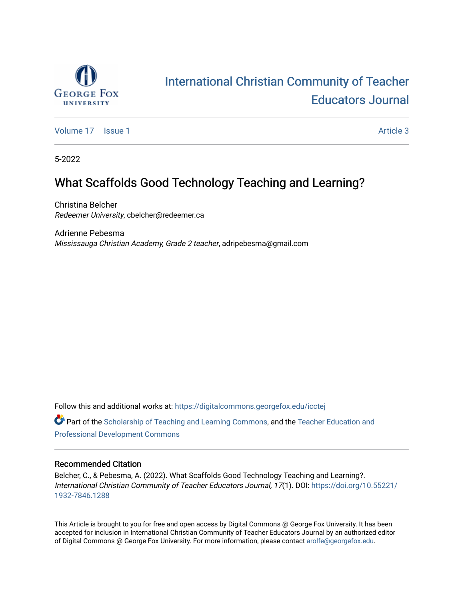

# [International Christian Community of Teacher](https://digitalcommons.georgefox.edu/icctej)  [Educators Journal](https://digitalcommons.georgefox.edu/icctej)

[Volume 17](https://digitalcommons.georgefox.edu/icctej/vol17) | [Issue 1](https://digitalcommons.georgefox.edu/icctej/vol17/iss1) Article 3

5-2022

# What Scaffolds Good Technology Teaching and Learning?

Christina Belcher Redeemer University, cbelcher@redeemer.ca

Adrienne Pebesma Mississauga Christian Academy, Grade 2 teacher, adripebesma@gmail.com

Follow this and additional works at: [https://digitalcommons.georgefox.edu/icctej](https://digitalcommons.georgefox.edu/icctej?utm_source=digitalcommons.georgefox.edu%2Ficctej%2Fvol17%2Fiss1%2F3&utm_medium=PDF&utm_campaign=PDFCoverPages) 

**Part of the [Scholarship of Teaching and Learning Commons,](http://network.bepress.com/hgg/discipline/1328?utm_source=digitalcommons.georgefox.edu%2Ficctej%2Fvol17%2Fiss1%2F3&utm_medium=PDF&utm_campaign=PDFCoverPages) and the Teacher Education and** [Professional Development Commons](http://network.bepress.com/hgg/discipline/803?utm_source=digitalcommons.georgefox.edu%2Ficctej%2Fvol17%2Fiss1%2F3&utm_medium=PDF&utm_campaign=PDFCoverPages)

## Recommended Citation

Belcher, C., & Pebesma, A. (2022). What Scaffolds Good Technology Teaching and Learning?. International Christian Community of Teacher Educators Journal, 17(1). DOI: [https://doi.org/10.55221/](https://doi.org/10.55221/1932-7846.1288) [1932-7846.1288](https://doi.org/10.55221/1932-7846.1288) 

This Article is brought to you for free and open access by Digital Commons @ George Fox University. It has been accepted for inclusion in International Christian Community of Teacher Educators Journal by an authorized editor of Digital Commons @ George Fox University. For more information, please contact [arolfe@georgefox.edu](mailto:arolfe@georgefox.edu).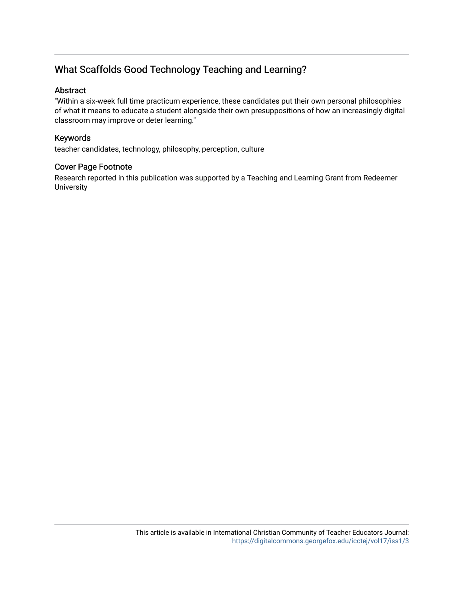# What Scaffolds Good Technology Teaching and Learning?

# Abstract

"Within a six-week full time practicum experience, these candidates put their own personal philosophies of what it means to educate a student alongside their own presuppositions of how an increasingly digital classroom may improve or deter learning."

# Keywords

teacher candidates, technology, philosophy, perception, culture

# Cover Page Footnote

Research reported in this publication was supported by a Teaching and Learning Grant from Redeemer University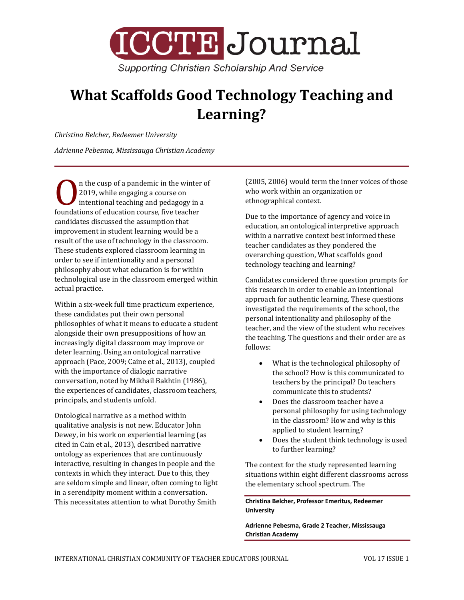

# **What Scaffolds Good Technology Teaching and Learning?**

*Christina Belcher, Redeemer University*

*Adrienne Pebesma, Mississauga Christian Academy*

n the cusp of a pandemic in the winter of 2019, while engaging a course on intentional teaching and pedagogy in a Foundations of education course, five teacher<br>
foundations of education course, five teacher<br>
condidates discussed the essumption that candidates discussed the assumption that improvement in student learning would be a result of the use of technology in the classroom. These students explored classroom learning in order to see if intentionality and a personal philosophy about what education is for within technological use in the classroom emerged within actual practice.

Within a six-week full time practicum experience, these candidates put their own personal philosophies of what it means to educate a student alongside their own presuppositions of how an increasingly digital classroom may improve or deter learning. Using an ontological narrative approach (Pace, 2009; Caine et al., 2013), coupled with the importance of dialogic narrative conversation, noted by Mikhail Bakhtin (1986), the experiences of candidates, classroom teachers, principals, and students unfold.

Ontological narrative as a method within qualitative analysis is not new. Educator John Dewey, in his work on experiential learning (as cited in Cain et al., 2013), described narrative ontology as experiences that are continuously interactive, resulting in changes in people and the contexts in which they interact. Due to this, they are seldom simple and linear, often coming to light in a serendipity moment within a conversation. This necessitates attention to what Dorothy Smith

(2005, 2006) would term the inner voices of those who work within an organization or ethnographical context.

Due to the importance of agency and voice in education, an ontological interpretive approach within a narrative context best informed these teacher candidates as they pondered the overarching question, What scaffolds good technology teaching and learning?

Candidates considered three question prompts for this research in order to enable an intentional approach for authentic learning. These questions investigated the requirements of the school, the personal intentionality and philosophy of the teacher, and the view of the student who receives the teaching. The questions and their order are as follows:

- What is the technological philosophy of the school? How is this communicated to teachers by the principal? Do teachers communicate this to students?
- Does the classroom teacher have a personal philosophy for using technology in the classroom? How and why is this applied to student learning?
- Does the student think technology is used to further learning?

The context for the study represented learning situations within eight different classrooms across the elementary school spectrum. The

**Christina Belcher, Professor Emeritus, Redeemer University**

**Adrienne Pebesma, Grade 2 Teacher, Mississauga Christian Academy**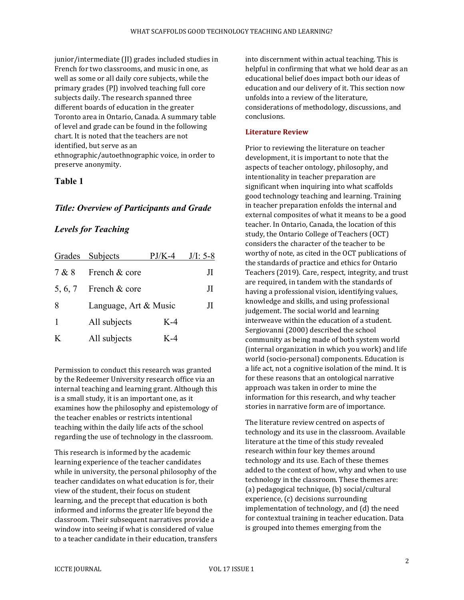junior/intermediate (JI) grades included studies in French for two classrooms, and music in one, as well as some or all daily core subjects, while the primary grades (PJ) involved teaching full core subjects daily. The research spanned three different boards of education in the greater Toronto area in Ontario, Canada. A summary table of level and grade can be found in the following chart. It is noted that the teachers are not identified, but serve as an ethnographic/autoethnographic voice, in order to preserve anonymity.

## **Table 1**

## *Title: Overview of Participants and Grade*

# *Levels for Teaching*

|         | Grades Subjects       | $PJ/K-4$ | $J/I: 5-8$ |
|---------|-----------------------|----------|------------|
| 7 & 8   | French & core         |          | JI.        |
| 5, 6, 7 | French & core         |          | Л          |
| 8       | Language, Art & Music |          | JI.        |
|         | All subjects          | $K-4$    |            |
| K       | All subjects          | K-4      |            |

Permission to conduct this research was granted by the Redeemer University research office via an internal teaching and learning grant. Although this is a small study, it is an important one, as it examines how the philosophy and epistemology of the teacher enables or restricts intentional teaching within the daily life acts of the school regarding the use of technology in the classroom.

This research is informed by the academic learning experience of the teacher candidates while in university, the personal philosophy of the teacher candidates on what education is for, their view of the student, their focus on student learning, and the precept that education is both informed and informs the greater life beyond the classroom. Their subsequent narratives provide a window into seeing if what is considered of value to a teacher candidate in their education, transfers into discernment within actual teaching. This is helpful in confirming that what we hold dear as an educational belief does impact both our ideas of education and our delivery of it. This section now unfolds into a review of the literature, considerations of methodology, discussions, and conclusions.

#### **Literature Review**

Prior to reviewing the literature on teacher development, it is important to note that the aspects of teacher ontology, philosophy, and intentionality in teacher preparation are significant when inquiring into what scaffolds good technology teaching and learning. Training in teacher preparation enfolds the internal and external composites of what it means to be a good teacher. In Ontario, Canada, the location of this study, the Ontario College of Teachers (OCT) considers the character of the teacher to be worthy of note, as cited in the OCT publications of the standards of practice and ethics for Ontario Teachers (2019). Care, respect, integrity, and trust are required, in tandem with the standards of having a professional vision, identifying values, knowledge and skills, and using professional judgement. The social world and learning interweave within the education of a student. Sergiovanni (2000) described the school community as being made of both system world (internal organization in which you work) and life world (socio-personal) components. Education is a life act, not a cognitive isolation of the mind. It is for these reasons that an ontological narrative approach was taken in order to mine the information for this research, and why teacher stories in narrative form are of importance.

The literature review centred on aspects of technology and its use in the classroom. Available literature at the time of this study revealed research within four key themes around technology and its use. Each of these themes added to the context of how, why and when to use technology in the classroom. These themes are: (a) pedagogical technique, (b) social/cultural experience, (c) decisions surrounding implementation of technology, and (d) the need for contextual training in teacher education. Data is grouped into themes emerging from the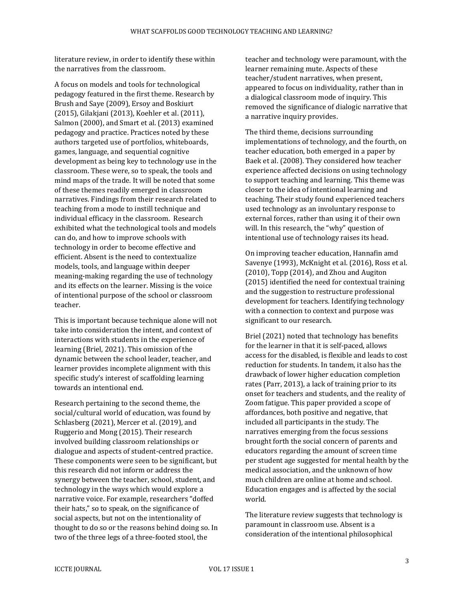literature review, in order to identify these within the narratives from the classroom.

A focus on models and tools for technological pedagogy featured in the first theme. Research by Brush and Saye (2009), Ersoy and Boskiurt (2015), Gilakjani (2013), Koehler et al. (2011), Salmon (2000), and Smart et al. (2013) examined pedagogy and practice. Practices noted by these authors targeted use of portfolios, whiteboards, games, language, and sequential cognitive development as being key to technology use in the classroom. These were, so to speak, the tools and mind maps of the trade. It will be noted that some of these themes readily emerged in classroom narratives. Findings from their research related to teaching from a mode to instill technique and individual efficacy in the classroom. Research exhibited what the technological tools and models can do, and how to improve schools with technology in order to become effective and efficient. Absent is the need to contextualize models, tools, and language within deeper meaning-making regarding the use of technology and its effects on the learner. Missing is the voice of intentional purpose of the school or classroom teacher.

This is important because technique alone will not take into consideration the intent, and context of interactions with students in the experience of learning (Briel, 2021). This omission of the dynamic between the school leader, teacher, and learner provides incomplete alignment with this specific study's interest of scaffolding learning towards an intentional end.

Research pertaining to the second theme, the social/cultural world of education, was found by Schlasberg (2021), Mercer et al. (2019), and Ruggerio and Mong (2015). Their research involved building classroom relationships or dialogue and aspects of student-centred practice. These components were seen to be significant, but this research did not inform or address the synergy between the teacher, school, student, and technology in the ways which would explore a narrative voice. For example, researchers "doffed their hats," so to speak, on the significance of social aspects, but not on the intentionality of thought to do so or the reasons behind doing so. In two of the three legs of a three-footed stool, the

teacher and technology were paramount, with the learner remaining mute. Aspects of these teacher/student narratives, when present, appeared to focus on individuality, rather than in a dialogical classroom mode of inquiry. This removed the significance of dialogic narrative that a narrative inquiry provides.

The third theme, decisions surrounding implementations of technology, and the fourth, on teacher education, both emerged in a paper by Baek et al. (2008). They considered how teacher experience affected decisions on using technology to support teaching and learning. This theme was closer to the idea of intentional learning and teaching. Their study found experienced teachers used technology as an involuntary response to external forces, rather than using it of their own will. In this research, the "why" question of intentional use of technology raises its head.

On improving teacher education, Hannafin amd Savenye (1993), McKnight et al. (2016), Ross et al. (2010), Topp (2014), and Zhou and Augiton (2015) identified the need for contextual training and the suggestion to restructure professional development for teachers. Identifying technology with a connection to context and purpose was significant to our research.

Briel (2021) noted that technology has benefits for the learner in that it is self-paced, allows access for the disabled, is flexible and leads to cost reduction for students. In tandem, it also has the drawback of lower higher education completion rates (Parr, 2013), a lack of training prior to its onset for teachers and students, and the reality of Zoom fatigue. This paper provided a scope of affordances, both positive and negative, that included all participants in the study. The narratives emerging from the focus sessions brought forth the social concern of parents and educators regarding the amount of screen time per student age suggested for mental health by the medical association, and the unknown of how much children are online at home and school. Education engages and is affected by the social world.

The literature review suggests that technology is paramount in classroom use. Absent is a consideration of the intentional philosophical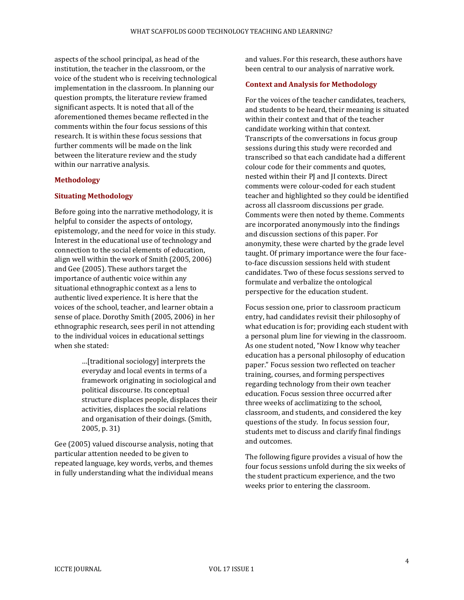aspects of the school principal, as head of the institution, the teacher in the classroom, or the voice of the student who is receiving technological implementation in the classroom. In planning our question prompts, the literature review framed significant aspects. It is noted that all of the aforementioned themes became reflected in the comments within the four focus sessions of this research. It is within these focus sessions that further comments will be made on the link between the literature review and the study within our narrative analysis.

#### **Methodology**

#### **Situating Methodology**

Before going into the narrative methodology, it is helpful to consider the aspects of ontology, epistemology, and the need for voice in this study. Interest in the educational use of technology and connection to the social elements of education, align well within the work of Smith (2005, 2006) and Gee (2005). These authors target the importance of authentic voice within any situational ethnographic context as a lens to authentic lived experience. It is here that the voices of the school, teacher, and learner obtain a sense of place. Dorothy Smith (2005, 2006) in her ethnographic research, sees peril in not attending to the individual voices in educational settings when she stated:

> …[traditional sociology] interprets the everyday and local events in terms of a framework originating in sociological and political discourse. Its conceptual structure displaces people, displaces their activities, displaces the social relations and organisation of their doings. (Smith, 2005, p. 31)

Gee (2005) valued discourse analysis, noting that particular attention needed to be given to repeated language, key words, verbs, and themes in fully understanding what the individual means

and values. For this research, these authors have been central to our analysis of narrative work.

#### **Context and Analysis for Methodology**

For the voices of the teacher candidates, teachers, and students to be heard, their meaning is situated within their context and that of the teacher candidate working within that context. Transcripts of the conversations in focus group sessions during this study were recorded and transcribed so that each candidate had a different colour code for their comments and quotes, nested within their PJ and JI contexts. Direct comments were colour-coded for each student teacher and highlighted so they could be identified across all classroom discussions per grade. Comments were then noted by theme. Comments are incorporated anonymously into the findings and discussion sections of this paper. For anonymity, these were charted by the grade level taught. Of primary importance were the four faceto-face discussion sessions held with student candidates. Two of these focus sessions served to formulate and verbalize the ontological perspective for the education student.

Focus session one, prior to classroom practicum entry, had candidates revisit their philosophy of what education is for; providing each student with a personal plum line for viewing in the classroom. As one student noted, "Now I know why teacher education has a personal philosophy of education paper." Focus session two reflected on teacher training, courses, and forming perspectives regarding technology from their own teacher education. Focus session three occurred after three weeks of acclimatizing to the school, classroom, and students, and considered the key questions of the study. In focus session four, students met to discuss and clarify final findings and outcomes.

The following figure provides a visual of how the four focus sessions unfold during the six weeks of the student practicum experience, and the two weeks prior to entering the classroom.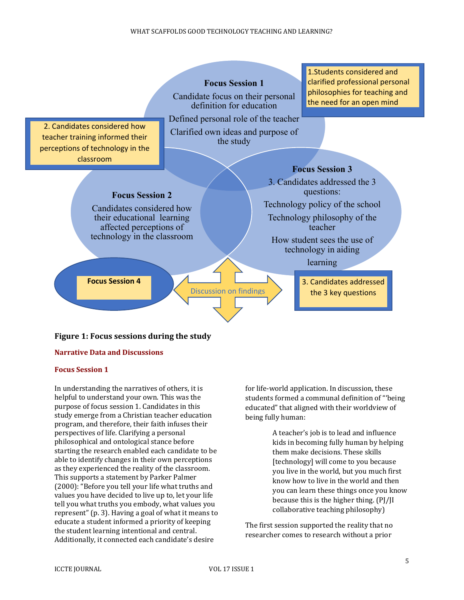**Focus Session 1** Candidate focus on their personal



## **Figure 1: Focus sessions during the study**

#### **Narrative Data and Discussions**

#### **Focus Session 1**

In understanding the narratives of others, it is helpful to understand your own. This was the purpose of focus session 1. Candidates in this study emerge from a Christian teacher education program, and therefore, their faith infuses their perspectives of life. Clarifying a personal philosophical and ontological stance before starting the research enabled each candidate to be able to identify changes in their own perceptions as they experienced the reality of the classroom. This supports a statement by Parker Palmer (2000): "Before you tell your life what truths and values you have decided to live up to, let your life tell you what truths you embody, what values you represent" (p. 3). Having a goal of what it means to educate a student informed a priority of keeping the student learning intentional and central. Additionally, it connected each candidate's desire

for life-world application. In discussion, these students formed a communal definition of "'being educated" that aligned with their worldview of being fully human:

1.Students considered and clarified professional personal philosophies for teaching and

A teacher's job is to lead and influence kids in becoming fully human by helping them make decisions. These skills [technology] will come to you because you live in the world, but you much first know how to live in the world and then you can learn these things once you know because this is the higher thing. (PJ/JI collaborative teaching philosophy)

The first session supported the reality that no researcher comes to research without a prior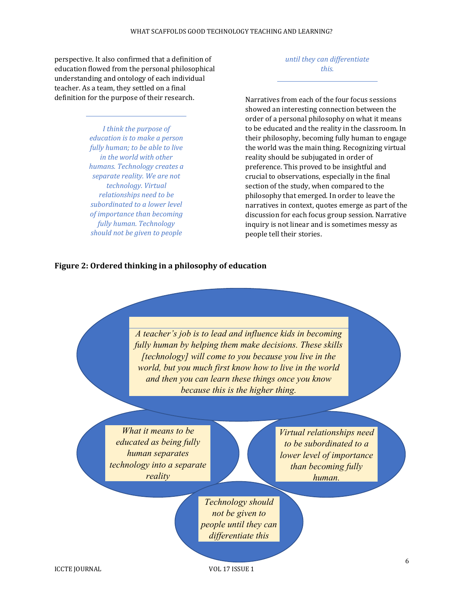perspective. It also confirmed that a definition of education flowed from the personal philosophical understanding and ontology of each individual teacher. As a team, they settled on a final definition for the purpose of their research.

> *I think the purpose of education is to make a person fully human; to be able to live in the world with other humans. Technology creates a separate reality. We are not technology. Virtual relationships need to be subordinated to a lower level of importance than becoming fully human. Technology should not be given to people*

*until they can differentiate this.*

Narratives from each of the four focus sessions showed an interesting connection between the order of a personal philosophy on what it means to be educated and the reality in the classroom. In their philosophy, becoming fully human to engage the world was the main thing. Recognizing virtual reality should be subjugated in order of preference. This proved to be insightful and crucial to observations, especially in the final section of the study, when compared to the philosophy that emerged. In order to leave the narratives in context, quotes emerge as part of the discussion for each focus group session. Narrative inquiry is not linear and is sometimes messy as people tell their stories.

#### **Figure 2: Ordered thinking in a philosophy of education**

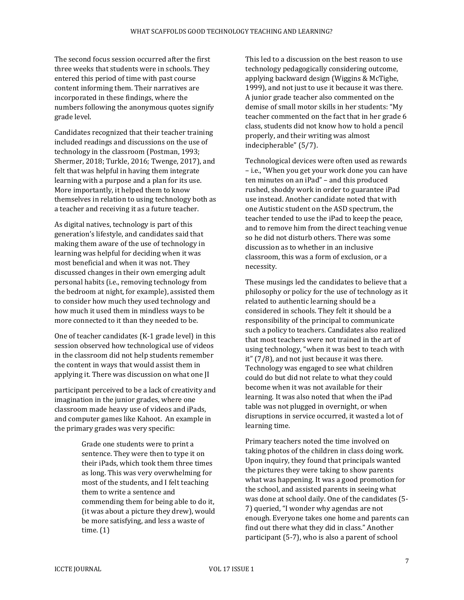The second focus session occurred after the first three weeks that students were in schools. They entered this period of time with past course content informing them. Their narratives are incorporated in these findings, where the numbers following the anonymous quotes signify grade level.

Candidates recognized that their teacher training included readings and discussions on the use of technology in the classroom (Postman, 1993; Shermer, 2018; Turkle, 2016; Twenge, 2017), and felt that was helpful in having them integrate learning with a purpose and a plan for its use. More importantly, it helped them to know themselves in relation to using technology both as a teacher and receiving it as a future teacher.

As digital natives, technology is part of this generation's lifestyle, and candidates said that making them aware of the use of technology in learning was helpful for deciding when it was most beneficial and when it was not. They discussed changes in their own emerging adult personal habits (i.e., removing technology from the bedroom at night, for example), assisted them to consider how much they used technology and how much it used them in mindless ways to be more connected to it than they needed to be.

One of teacher candidates (K-1 grade level) in this session observed how technological use of videos in the classroom did not help students remember the content in ways that would assist them in applying it. There was discussion on what one JI

participant perceived to be a lack of creativity and imagination in the junior grades, where one classroom made heavy use of videos and iPads, and computer games like Kahoot. An example in the primary grades was very specific:

> Grade one students were to print a sentence. They were then to type it on their iPads, which took them three times as long. This was very overwhelming for most of the students, and I felt teaching them to write a sentence and commending them for being able to do it, (it was about a picture they drew), would be more satisfying, and less a waste of time. (1)

This led to a discussion on the best reason to use technology pedagogically considering outcome, applying backward design (Wiggins & McTighe, 1999), and not just to use it because it was there. A junior grade teacher also commented on the demise of small motor skills in her students: "My teacher commented on the fact that in her grade 6 class, students did not know how to hold a pencil properly, and their writing was almost indecipherable" (5/7).

Technological devices were often used as rewards – i.e., "When you get your work done you can have ten minutes on an iPad" – and this produced rushed, shoddy work in order to guarantee iPad use instead. Another candidate noted that with one Autistic student on the ASD spectrum, the teacher tended to use the iPad to keep the peace, and to remove him from the direct teaching venue so he did not disturb others. There was some discussion as to whether in an inclusive classroom, this was a form of exclusion, or a necessity.

These musings led the candidates to believe that a philosophy or policy for the use of technology as it related to authentic learning should be a considered in schools. They felt it should be a responsibility of the principal to communicate such a policy to teachers. Candidates also realized that most teachers were not trained in the art of using technology, "when it was best to teach with it" (7/8), and not just because it was there. Technology was engaged to see what children could do but did not relate to what they could become when it was not available for their learning. It was also noted that when the iPad table was not plugged in overnight, or when disruptions in service occurred, it wasted a lot of learning time.

Primary teachers noted the time involved on taking photos of the children in class doing work. Upon inquiry, they found that principals wanted the pictures they were taking to show parents what was happening. It was a good promotion for the school, and assisted parents in seeing what was done at school daily. One of the candidates (5- 7) queried, "I wonder why agendas are not enough. Everyone takes one home and parents can find out there what they did in class." Another participant (5-7), who is also a parent of school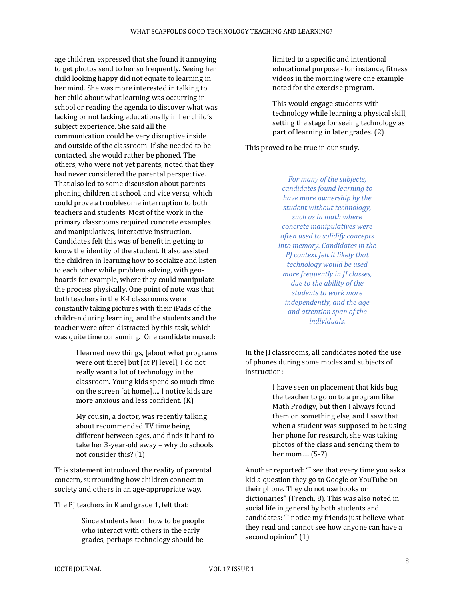age children, expressed that she found it annoying to get photos send to her so frequently. Seeing her child looking happy did not equate to learning in her mind. She was more interested in talking to her child about what learning was occurring in school or reading the agenda to discover what was lacking or not lacking educationally in her child's subject experience. She said all the communication could be very disruptive inside and outside of the classroom. If she needed to be contacted, she would rather be phoned. The others, who were not yet parents, noted that they had never considered the parental perspective. That also led to some discussion about parents phoning children at school, and vice versa, which could prove a troublesome interruption to both teachers and students. Most of the work in the primary classrooms required concrete examples and manipulatives, interactive instruction. Candidates felt this was of benefit in getting to know the identity of the student. It also assisted the children in learning how to socialize and listen to each other while problem solving, with geoboards for example, where they could manipulate the process physically. One point of note was that both teachers in the K-I classrooms were constantly taking pictures with their iPads of the children during learning, and the students and the teacher were often distracted by this task, which was quite time consuming. One candidate mused:

> I learned new things, [about what programs were out there] but [at PJ level], I do not really want a lot of technology in the classroom. Young kids spend so much time on the screen [at home]…. I notice kids are more anxious and less confident. (K)

My cousin, a doctor, was recently talking about recommended TV time being different between ages, and finds it hard to take her 3-year-old away – why do schools not consider this? (1)

This statement introduced the reality of parental concern, surrounding how children connect to society and others in an age-appropriate way.

The PJ teachers in K and grade 1, felt that:

Since students learn how to be people who interact with others in the early grades, perhaps technology should be

limited to a specific and intentional educational purpose - for instance, fitness videos in the morning were one example noted for the exercise program.

This would engage students with technology while learning a physical skill, setting the stage for seeing technology as part of learning in later grades. (2)

This proved to be true in our study.

*For many of the subjects, candidates found learning to have more ownership by the student without technology, such as in math where concrete manipulatives were often used to solidify concepts into memory. Candidates in the PJ context felt it likely that technology would be used more frequently in JI classes, due to the ability of the students to work more independently, and the age and attention span of the individuals.*

In the JI classrooms, all candidates noted the use of phones during some modes and subjects of instruction:

> I have seen on placement that kids bug the teacher to go on to a program like Math Prodigy, but then I always found them on something else, and I saw that when a student was supposed to be using her phone for research, she was taking photos of the class and sending them to her mom…. (5-7)

Another reported: "I see that every time you ask a kid a question they go to Google or YouTube on their phone. They do not use books or dictionaries" (French, 8). This was also noted in social life in general by both students and candidates: "I notice my friends just believe what they read and cannot see how anyone can have a second opinion" (1).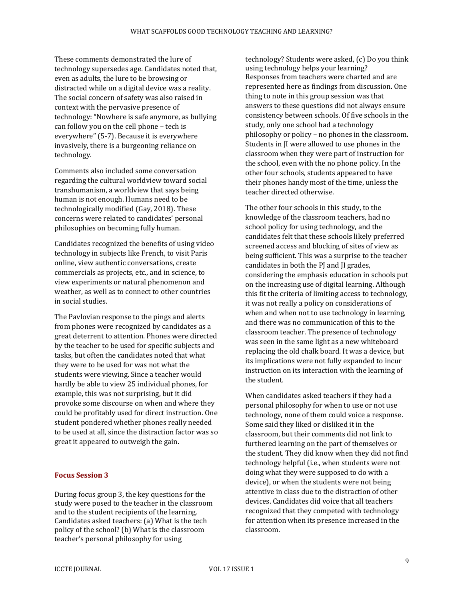These comments demonstrated the lure of technology supersedes age. Candidates noted that, even as adults, the lure to be browsing or distracted while on a digital device was a reality. The social concern of safety was also raised in context with the pervasive presence of technology: "Nowhere is safe anymore, as bullying can follow you on the cell phone – tech is everywhere" (5-7). Because it is everywhere invasively, there is a burgeoning reliance on technology.

Comments also included some conversation regarding the cultural worldview toward social transhumanism, a worldview that says being human is not enough. Humans need to be technologically modified (Gay, 2018). These concerns were related to candidates' personal philosophies on becoming fully human.

Candidates recognized the benefits of using video technology in subjects like French, to visit Paris online, view authentic conversations, create commercials as projects, etc., and in science, to view experiments or natural phenomenon and weather, as well as to connect to other countries in social studies.

The Pavlovian response to the pings and alerts from phones were recognized by candidates as a great deterrent to attention. Phones were directed by the teacher to be used for specific subjects and tasks, but often the candidates noted that what they were to be used for was not what the students were viewing. Since a teacher would hardly be able to view 25 individual phones, for example, this was not surprising, but it did provoke some discourse on when and where they could be profitably used for direct instruction. One student pondered whether phones really needed to be used at all, since the distraction factor was so great it appeared to outweigh the gain.

#### **Focus Session 3**

During focus group 3, the key questions for the study were posed to the teacher in the classroom and to the student recipients of the learning. Candidates asked teachers: (a) What is the tech policy of the school? (b) What is the classroom teacher's personal philosophy for using

technology? Students were asked, (c) Do you think using technology helps your learning? Responses from teachers were charted and are represented here as findings from discussion. One thing to note in this group session was that answers to these questions did not always ensure consistency between schools. Of five schools in the study, only one school had a technology philosophy or policy – no phones in the classroom. Students in JI were allowed to use phones in the classroom when they were part of instruction for the school, even with the no phone policy. In the other four schools, students appeared to have their phones handy most of the time, unless the teacher directed otherwise.

The other four schools in this study, to the knowledge of the classroom teachers, had no school policy for using technology, and the candidates felt that these schools likely preferred screened access and blocking of sites of view as being sufficient. This was a surprise to the teacher candidates in both the PJ and JI grades, considering the emphasis education in schools put on the increasing use of digital learning. Although this fit the criteria of limiting access to technology, it was not really a policy on considerations of when and when not to use technology in learning, and there was no communication of this to the classroom teacher. The presence of technology was seen in the same light as a new whiteboard replacing the old chalk board. It was a device, but its implications were not fully expanded to incur instruction on its interaction with the learning of the student.

When candidates asked teachers if they had a personal philosophy for when to use or not use technology, none of them could voice a response. Some said they liked or disliked it in the classroom, but their comments did not link to furthered learning on the part of themselves or the student. They did know when they did not find technology helpful (i.e., when students were not doing what they were supposed to do with a device), or when the students were not being attentive in class due to the distraction of other devices. Candidates did voice that all teachers recognized that they competed with technology for attention when its presence increased in the classroom.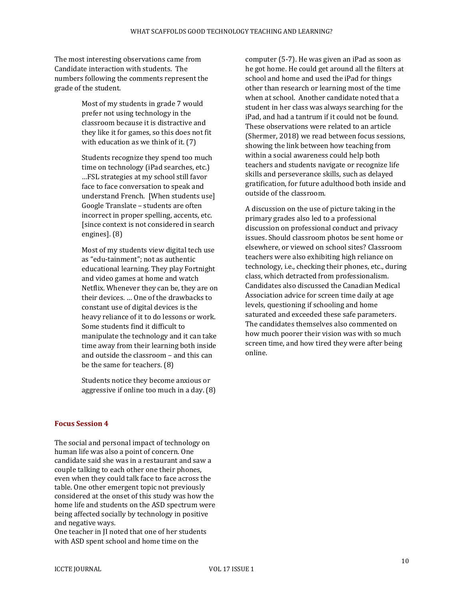The most interesting observations came from Candidate interaction with students. The numbers following the comments represent the grade of the student.

> Most of my students in grade 7 would prefer not using technology in the classroom because it is distractive and they like it for games, so this does not fit with education as we think of it. (7)

Students recognize they spend too much time on technology (iPad searches, etc.) …FSL strategies at my school still favor face to face conversation to speak and understand French. [When students use] Google Translate – students are often incorrect in proper spelling, accents, etc. [since context is not considered in search engines]. (8)

Most of my students view digital tech use as "edu-tainment"; not as authentic educational learning. They play Fortnight and video games at home and watch Netflix. Whenever they can be, they are on their devices. … One of the drawbacks to constant use of digital devices is the heavy reliance of it to do lessons or work. Some students find it difficult to manipulate the technology and it can take time away from their learning both inside and outside the classroom – and this can be the same for teachers. (8)

Students notice they become anxious or aggressive if online too much in a day. (8)

#### **Focus Session 4**

The social and personal impact of technology on human life was also a point of concern. One candidate said she was in a restaurant and saw a couple talking to each other one their phones, even when they could talk face to face across the table. One other emergent topic not previously considered at the onset of this study was how the home life and students on the ASD spectrum were being affected socially by technology in positive and negative ways.

One teacher in JI noted that one of her students with ASD spent school and home time on the

computer (5-7). He was given an iPad as soon as he got home. He could get around all the filters at school and home and used the iPad for things other than research or learning most of the time when at school. Another candidate noted that a student in her class was always searching for the iPad, and had a tantrum if it could not be found. These observations were related to an article (Shermer, 2018) we read between focus sessions, showing the link between how teaching from within a social awareness could help both teachers and students navigate or recognize life skills and perseverance skills, such as delayed gratification, for future adulthood both inside and outside of the classroom.

A discussion on the use of picture taking in the primary grades also led to a professional discussion on professional conduct and privacy issues. Should classroom photos be sent home or elsewhere, or viewed on school sites? Classroom teachers were also exhibiting high reliance on technology, i.e., checking their phones, etc., during class, which detracted from professionalism. Candidates also discussed the Canadian Medical Association advice for screen time daily at age levels, questioning if schooling and home saturated and exceeded these safe parameters. The candidates themselves also commented on how much poorer their vision was with so much screen time, and how tired they were after being online.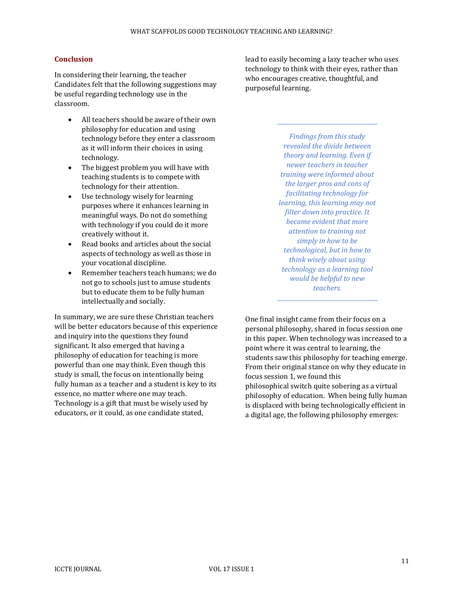#### **Conclusion**

In considering their learning, the teacher Candidates felt that the following suggestions may be useful regarding technology use in the classroom.

- All teachers should be aware of their own philosophy for education and using technology before they enter a classroom as it will inform their choices in using technology.
- The biggest problem you will have with teaching students is to compete with technology for their attention.
- Use technology wisely for learning purposes where it enhances learning in meaningful ways. Do not do something with technology if you could do it more creatively without it.
- Read books and articles about the social aspects of technology as well as those in your vocational discipline.
- Remember teachers teach humans; we do not go to schools just to amuse students but to educate them to be fully human intellectually and socially.

In summary, we are sure these Christian teachers will be better educators because of this experience and inquiry into the questions they found significant. It also emerged that having a philosophy of education for teaching is more powerful than one may think. Even though this study is small, the focus on intentionally being fully human as a teacher and a student is key to its essence, no matter where one may teach. Technology is a gift that must be wisely used by educators, or it could, as one candidate stated,

lead to easily becoming a lazy teacher who uses technology to think with their eyes, rather than who encourages creative, thoughtful, and purposeful learning.

> *Findings from this study revealed the divide between theory and learning. Even if newer teachers in teacher training were informed about the larger pros and cons of facilitating technology for learning, this learning may not filter down into practice. It became evident that more attention to training not simply in how to be technological, but in how to think wisely about using technology as a learning tool would be helpful to new teachers.*

One final insight came from their focus on a personal philosophy, shared in focus session one in this paper. When technology was increased to a point where it was central to learning, the students saw this philosophy for teaching emerge. From their original stance on why they educate in focus session 1, we found this philosophical switch quite sobering as a virtual philosophy of education. When being fully human is displaced with being technologically efficient in a digital age, the following philosophy emerges: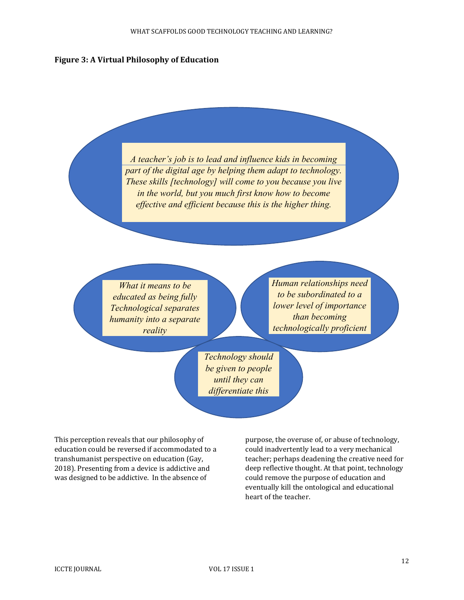#### **Figure 3: A Virtual Philosophy of Education**

*A teacher's job is to lead and influence kids in becoming part of the digital age by helping them adapt to technology. These skills [technology] will come to you because you live in the world, but you much first know how to become effective and efficient because this is the higher thing.*

*What it means to be educated as being fully Technological separates humanity into a separate reality*

*Human relationships need to be subordinated to a lower level of importance than becoming technologically proficient*

*Technology should be given to people until they can differentiate this*

This perception reveals that our philosophy of education could be reversed if accommodated to a transhumanist perspective on education (Gay, 2018). Presenting from a device is addictive and was designed to be addictive. In the absence of

purpose, the overuse of, or abuse of technology, could inadvertently lead to a very mechanical teacher; perhaps deadening the creative need for deep reflective thought. At that point, technology could remove the purpose of education and eventually kill the ontological and educational heart of the teacher.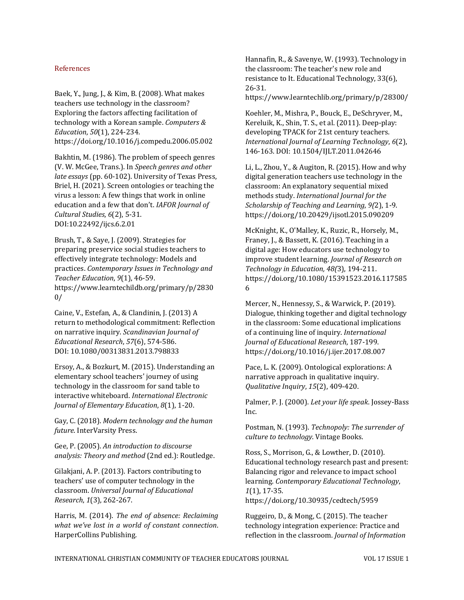#### References

Baek, Y., Jung, J., & Kim, B. (2008). What makes teachers use technology in the classroom? Exploring the factors affecting facilitation of technology with a Korean sample. *Computers & Education*, *50*(1), 224-234. https://doi.org/10.1016/j.compedu.2006.05.002

Bakhtin, M. (1986). The problem of speech genres (V. W. McGee, Trans.). In *Speech genres and other late essays* (pp. 60-102). University of Texas Press, Briel, H. (2021). Screen ontologies or teaching the virus a lesson: A few things that work in online education and a few that don't. *IAFOR Journal of Cultural Studies*, *6*(2), 5-31. DOI:10.22492/ijcs.6.2.01

Brush, T., & Saye, J. (2009). Strategies for preparing preservice social studies teachers to effectively integrate technology: Models and practices. *Contemporary Issues in Technology and Teacher Education*, *9*(1), 46-59. https://www.learntechildb.org/primary/p/2830  $0/$ 

Caine, V., Estefan, A., & Clandinin, J. (2013) A return to methodological commitment: Reflection on narrative inquiry. *Scandinavian Journal of Educational Research*, *57*(6), 574-586. DOI: 10.1080/00313831.2013.798833

Ersoy, A., & Bozkurt, M. (2015). Understanding an elementary school teachers' journey of using technology in the classroom for sand table to interactive whiteboard. *International Electronic Journal of Elementary Education*, *8*(1), 1-20.

Gay, C. (2018). *Modern technology and the human future*. InterVarsity Press.

Gee, P. (2005). *An introduction to discourse analysis: Theory and method* (2nd ed.): Routledge.

Gilakjani, A. P. (2013). Factors contributing to teachers' use of computer technology in the classroom. *Universal Journal of Educational Research*, *1*(3), 262-267.

Harris, M. (2014). *The end of absence: Reclaiming what we've lost in a world of constant connection*. HarperCollins Publishing.

Hannafin, R., & Savenye, W. (1993). Technology in the classroom: The teacher's new role and resistance to It. Educational Technology, 33(6), 26-31.

https://www.learntechlib.org/primary/p/28300/

Koehler, M., Mishra, P., Bouck, E., DeSchryver, M., Kereluik, K., Shin, T. S., et al. (2011). Deep-play: developing TPACK for 21st century teachers. *International Journal of Learning Technology*, *6*(2), 146-163. DOI: 10.1504/IJLT.2011.042646

Li, L., Zhou, Y., & Augiton, R. (2015). How and why digital generation teachers use technology in the classroom: An explanatory sequential mixed methods study. *International Journal for the Scholarship of Teaching and Learning*, *9(*2), 1-9. https://doi.org/10.20429/ijsotl.2015.090209

McKnight, K., O'Malley, K., Ruzic, R., Horsely, M., Franey, J., & Bassett, K. (2016). Teaching in a digital age: How educators use technology to improve student learning. *Journal of Research on Technology in Education, 48(*3), 194-211. https://doi.org/10.1080/15391523.2016.117585 6

Mercer, N., Hennessy, S., & Warwick, P. (2019). Dialogue, thinking together and digital technology in the classroom: Some educational implications of a continuing line of inquiry. *International Journal of Educational Research*, 187-199. https://doi.org/10.1016/j.ijer.2017.08.007

Pace, L. K. (2009). Ontological explorations: A narrative approach in qualitative inquiry. *Qualitative Inquiry*, *15*(2), 409-420.

Palmer, P. J. (2000). *Let your life speak*. Jossey-Bass Inc.

Postman, N. (1993). *Technopoly: The surrender of culture to technology*. Vintage Books.

Ross, S., Morrison, G., & Lowther, D. (2010). Educational technology research past and present: Balancing rigor and relevance to impact school learning. *Contemporary Educational Technology*, *1*(1), 17-35. https://doi.org/10.30935/cedtech/5959

Ruggeiro, D., & Mong, C. (2015). The teacher technology integration experience: Practice and reflection in the classroom. *Journal of Information*